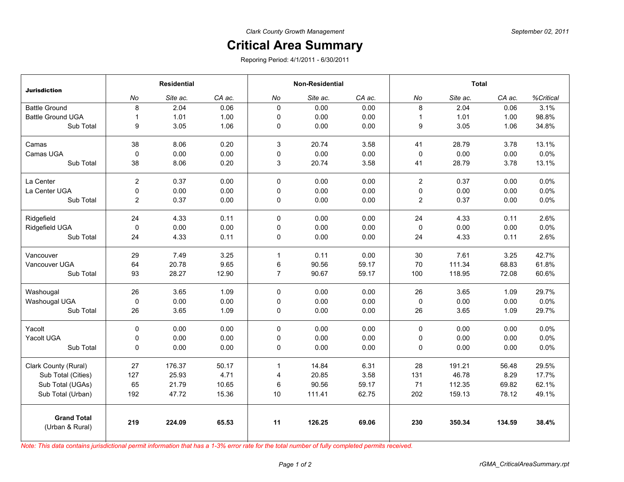## **Critical Area Summary**

Reporing Period: 4/1/2011 - 6/30/2011

|                                       | <b>Residential</b> |          |        | <b>Non-Residential</b> |          |        | <b>Total</b>   |          |        |           |
|---------------------------------------|--------------------|----------|--------|------------------------|----------|--------|----------------|----------|--------|-----------|
| <b>Jurisdiction</b>                   | No                 | Site ac. | CA ac. | No                     | Site ac. | CA ac. | No             | Site ac. | CA ac. | %Critical |
| <b>Battle Ground</b>                  | 8                  | 2.04     | 0.06   | $\mathbf{0}$           | 0.00     | 0.00   | 8              | 2.04     | 0.06   | 3.1%      |
| <b>Battle Ground UGA</b>              | $\mathbf{1}$       | 1.01     | 1.00   | 0                      | 0.00     | 0.00   | $\mathbf{1}$   | 1.01     | 1.00   | 98.8%     |
| Sub Total                             | 9                  | 3.05     | 1.06   | 0                      | 0.00     | 0.00   | 9              | 3.05     | 1.06   | 34.8%     |
| Camas                                 | 38                 | 8.06     | 0.20   | 3                      | 20.74    | 3.58   | 41             | 28.79    | 3.78   | 13.1%     |
| Camas UGA                             | 0                  | 0.00     | 0.00   | 0                      | 0.00     | 0.00   | 0              | 0.00     | 0.00   | 0.0%      |
| Sub Total                             | 38                 | 8.06     | 0.20   | 3                      | 20.74    | 3.58   | 41             | 28.79    | 3.78   | 13.1%     |
| La Center                             | $\overline{c}$     | 0.37     | 0.00   | 0                      | 0.00     | 0.00   | $\overline{2}$ | 0.37     | 0.00   | 0.0%      |
| La Center UGA                         | 0                  | 0.00     | 0.00   | 0                      | 0.00     | 0.00   | $\pmb{0}$      | 0.00     | 0.00   | 0.0%      |
| Sub Total                             | $\overline{c}$     | 0.37     | 0.00   | 0                      | 0.00     | 0.00   | 2              | 0.37     | 0.00   | 0.0%      |
| Ridgefield                            | 24                 | 4.33     | 0.11   | $\mathbf 0$            | 0.00     | 0.00   | 24             | 4.33     | 0.11   | 2.6%      |
| Ridgefield UGA                        | $\pmb{0}$          | 0.00     | 0.00   | 0                      | 0.00     | 0.00   | 0              | 0.00     | 0.00   | 0.0%      |
| Sub Total                             | 24                 | 4.33     | 0.11   | 0                      | 0.00     | 0.00   | 24             | 4.33     | 0.11   | 2.6%      |
| Vancouver                             | 29                 | 7.49     | 3.25   | $\mathbf{1}$           | 0.11     | 0.00   | 30             | 7.61     | 3.25   | 42.7%     |
| Vancouver UGA                         | 64                 | 20.78    | 9.65   | 6                      | 90.56    | 59.17  | 70             | 111.34   | 68.83  | 61.8%     |
| Sub Total                             | 93                 | 28.27    | 12.90  | $\overline{7}$         | 90.67    | 59.17  | 100            | 118.95   | 72.08  | 60.6%     |
| Washougal                             | 26                 | 3.65     | 1.09   | $\Omega$               | 0.00     | 0.00   | 26             | 3.65     | 1.09   | 29.7%     |
| Washougal UGA                         | 0                  | 0.00     | 0.00   | 0                      | 0.00     | 0.00   | 0              | 0.00     | 0.00   | 0.0%      |
| Sub Total                             | 26                 | 3.65     | 1.09   | 0                      | 0.00     | 0.00   | 26             | 3.65     | 1.09   | 29.7%     |
| Yacolt                                | $\Omega$           | 0.00     | 0.00   | 0                      | 0.00     | 0.00   | $\mathbf 0$    | 0.00     | 0.00   | 0.0%      |
| Yacolt UGA                            | 0                  | 0.00     | 0.00   | 0                      | 0.00     | 0.00   | 0              | 0.00     | 0.00   | 0.0%      |
| Sub Total                             | 0                  | 0.00     | 0.00   | $\mathbf 0$            | 0.00     | 0.00   | 0              | 0.00     | 0.00   | 0.0%      |
| Clark County (Rural)                  | 27                 | 176.37   | 50.17  | $\mathbf{1}$           | 14.84    | 6.31   | 28             | 191.21   | 56.48  | 29.5%     |
| Sub Total (Cities)                    | 127                | 25.93    | 4.71   | 4                      | 20.85    | 3.58   | 131            | 46.78    | 8.29   | 17.7%     |
| Sub Total (UGAs)                      | 65                 | 21.79    | 10.65  | 6                      | 90.56    | 59.17  | 71             | 112.35   | 69.82  | 62.1%     |
| Sub Total (Urban)                     | 192                | 47.72    | 15.36  | 10                     | 111.41   | 62.75  | 202            | 159.13   | 78.12  | 49.1%     |
| <b>Grand Total</b><br>(Urban & Rural) | 219                | 224.09   | 65.53  | 11                     | 126.25   | 69.06  | 230            | 350.34   | 134.59 | 38.4%     |

*Note: This data contains jurisdictional permit information that has a 1-3% error rate for the total number of fully completed permits received.*